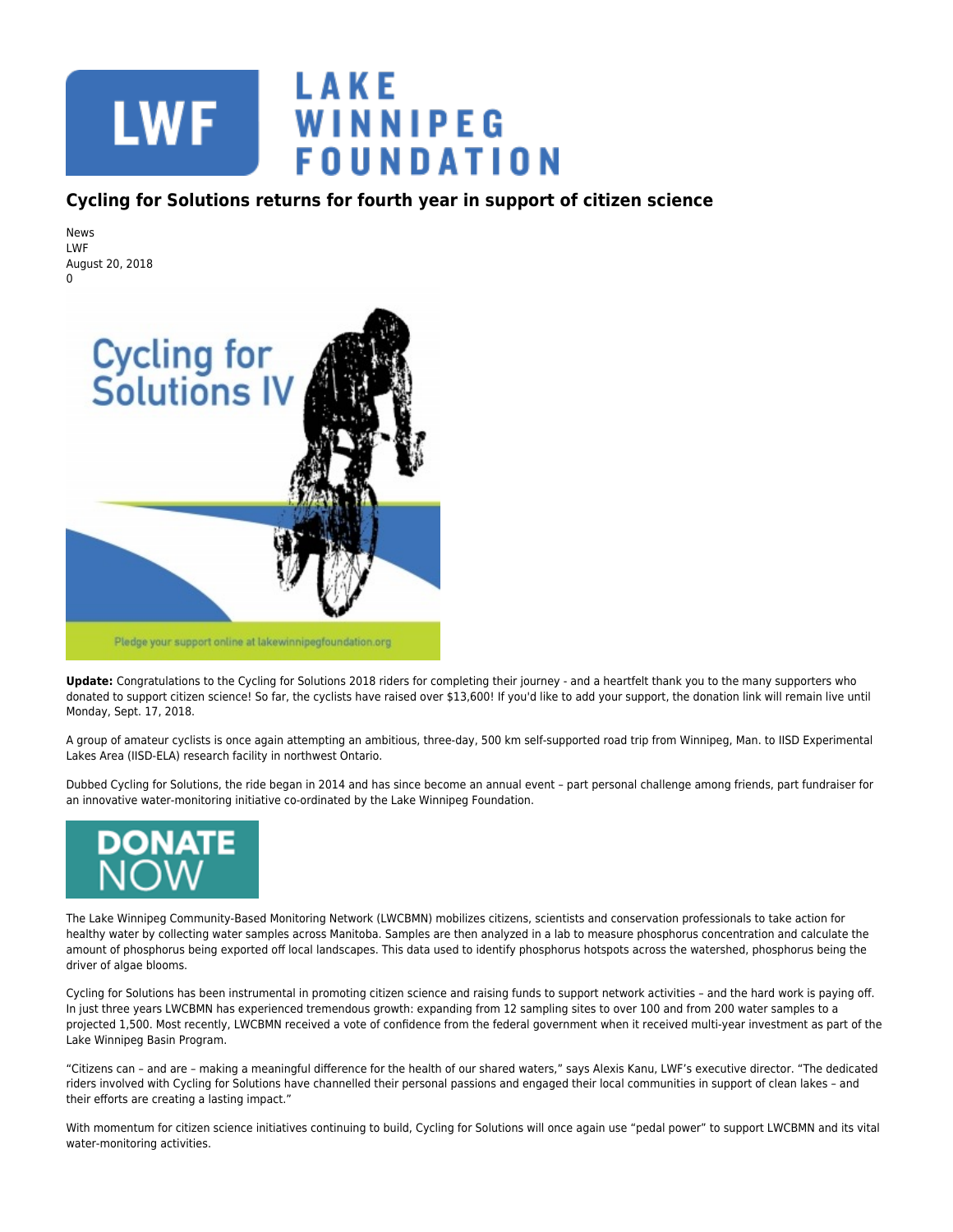

## **Cycling for Solutions returns for fourth year in support of citizen science**

News LWF August 20, 2018  $\Omega$ 



**Update:** Congratulations to the Cycling for Solutions 2018 riders for completing their journey - and a heartfelt thank you to the many supporters who donated to support citizen science! So far, the cyclists have raised over \$13,600! If you'd like to add your support, the donation link will remain live until Monday, Sept. 17, 2018.

A group of amateur cyclists is once again attempting an ambitious, three-day, 500 km self-supported road trip from Winnipeg, Man. to IISD Experimental Lakes Area (IISD-ELA) research facility in northwest Ontario.

Dubbed Cycling for Solutions, the ride began in 2014 and has since become an annual event – part personal challenge among friends, part fundraiser for an innovative water-monitoring initiative co-ordinated by the Lake Winnipeg Foundation.



The Lake Winnipeg Community-Based Monitoring Network (LWCBMN) mobilizes citizens, scientists and conservation professionals to take action for healthy water by collecting water samples across Manitoba. Samples are then analyzed in a lab to measure phosphorus concentration and calculate the amount of phosphorus being exported off local landscapes. This data used to identify phosphorus hotspots across the watershed, phosphorus being the driver of algae blooms.

Cycling for Solutions has been instrumental in promoting citizen science and raising funds to support network activities – and the hard work is paying off. In just three years LWCBMN has experienced tremendous growth: expanding from 12 sampling sites to over 100 and from 200 water samples to a projected 1,500. Most recently, LWCBMN received a vote of confidence from the federal government when it received multi-year investment as part of the Lake Winnipeg Basin Program.

"Citizens can – and are – making a meaningful difference for the health of our shared waters," says Alexis Kanu, LWF's executive director. "The dedicated riders involved with Cycling for Solutions have channelled their personal passions and engaged their local communities in support of clean lakes – and their efforts are creating a lasting impact."

With momentum for citizen science initiatives continuing to build, Cycling for Solutions will once again use "pedal power" to support LWCBMN and its vital water-monitoring activities.